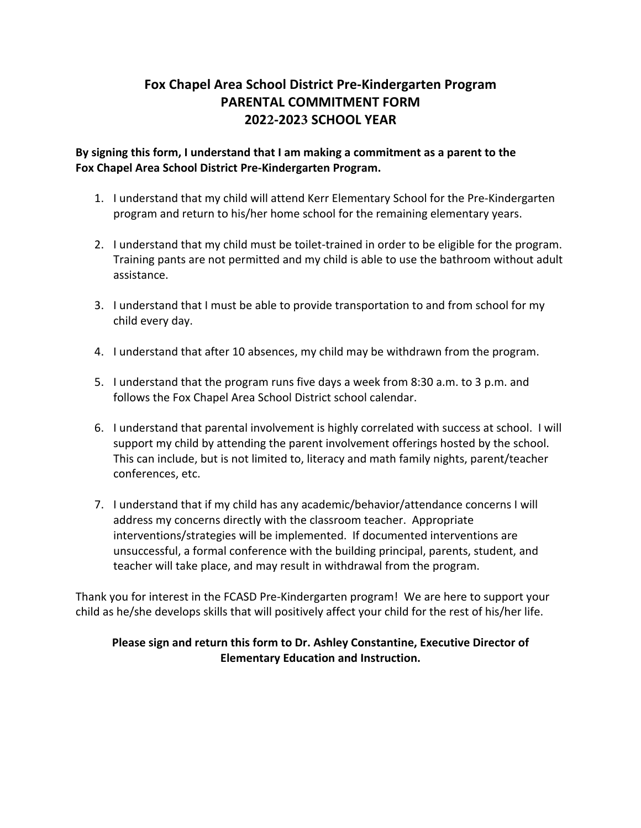## **Fox Chapel Area School District Pre-Kindergarten Program PARENTAL COMMITMENT FORM 2022-2023 SCHOOL YEAR**

**By signing this form, I understand that I am making a commitment as a parent to the Fox Chapel Area School District Pre-Kindergarten Program.** 

- 1. I understand that my child will attend Kerr Elementary School for the Pre-Kindergarten program and return to his/her home school for the remaining elementary years.
- 2. I understand that my child must be toilet-trained in order to be eligible for the program. Training pants are not permitted and my child is able to use the bathroom without adult assistance.
- 3. I understand that I must be able to provide transportation to and from school for my child every day.
- 4. I understand that after 10 absences, my child may be withdrawn from the program.
- 5. I understand that the program runs five days a week from 8:30 a.m. to 3 p.m. and follows the Fox Chapel Area School District school calendar.
- 6. I understand that parental involvement is highly correlated with success at school. I will support my child by attending the parent involvement offerings hosted by the school. This can include, but is not limited to, literacy and math family nights, parent/teacher conferences, etc.
- 7. I understand that if my child has any academic/behavior/attendance concerns I will address my concerns directly with the classroom teacher. Appropriate interventions/strategies will be implemented. If documented interventions are unsuccessful, a formal conference with the building principal, parents, student, and teacher will take place, and may result in withdrawal from the program.

Thank you for interest in the FCASD Pre-Kindergarten program! We are here to support your child as he/she develops skills that will positively affect your child for the rest of his/her life.

## **Please sign and return this form to Dr. Ashley Constantine, Executive Director of Elementary Education and Instruction.**